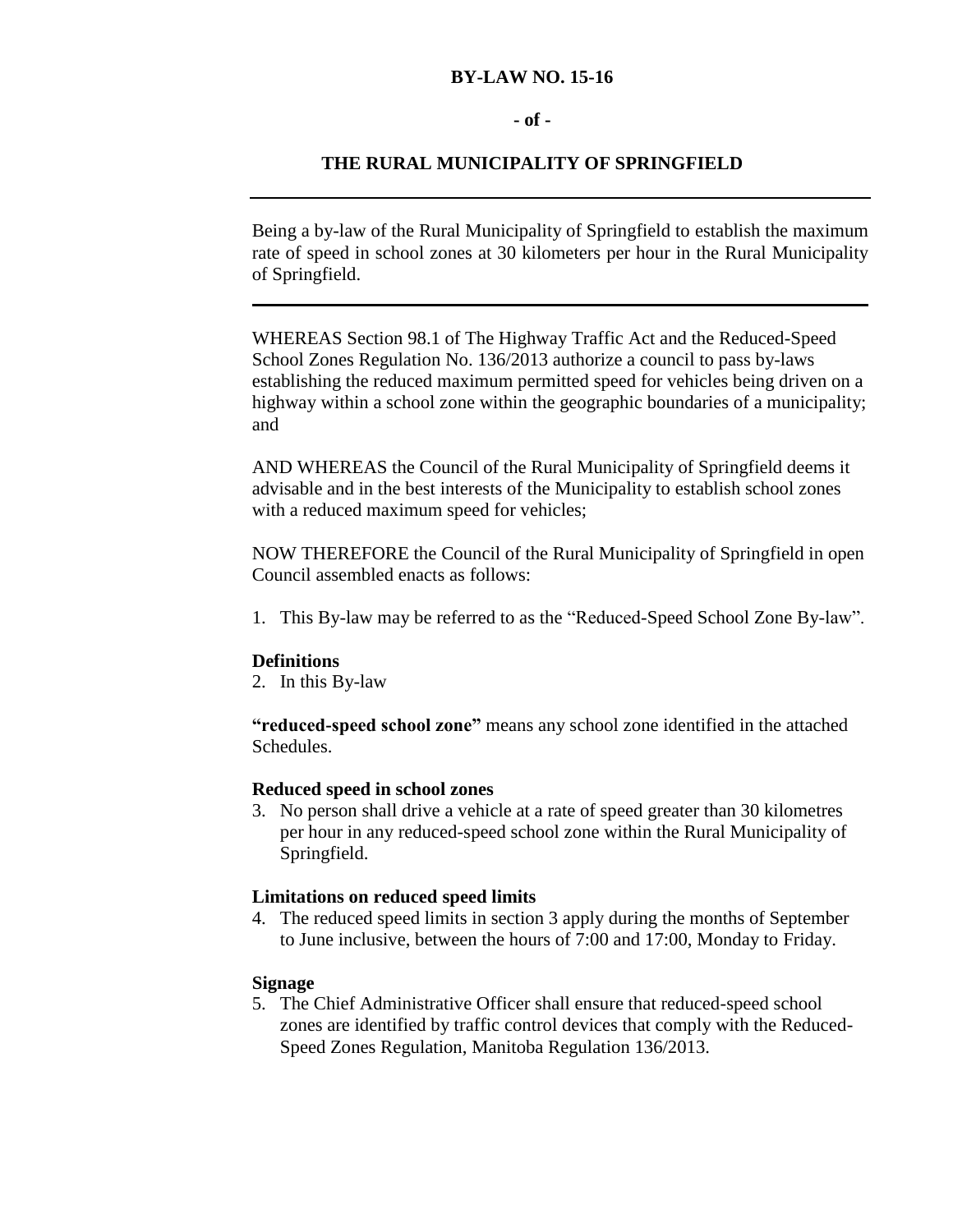# **BY-LAW NO. 15-16**

## **- of -**

# **THE RURAL MUNICIPALITY OF SPRINGFIELD**

Being a by-law of the Rural Municipality of Springfield to establish the maximum rate of speed in school zones at 30 kilometers per hour in the Rural Municipality of Springfield.

WHEREAS Section 98.1 of The Highway Traffic Act and the Reduced-Speed School Zones Regulation No. 136/2013 authorize a council to pass by-laws establishing the reduced maximum permitted speed for vehicles being driven on a highway within a school zone within the geographic boundaries of a municipality; and

AND WHEREAS the Council of the Rural Municipality of Springfield deems it advisable and in the best interests of the Municipality to establish school zones with a reduced maximum speed for vehicles;

NOW THEREFORE the Council of the Rural Municipality of Springfield in open Council assembled enacts as follows:

1. This By-law may be referred to as the "Reduced-Speed School Zone By-law".

#### **Definitions**

2. In this By-law

**"reduced-speed school zone"** means any school zone identified in the attached Schedules.

# **Reduced speed in school zones**

3. No person shall drive a vehicle at a rate of speed greater than 30 kilometres per hour in any reduced-speed school zone within the Rural Municipality of Springfield.

#### **Limitations on reduced speed limits**

4. The reduced speed limits in section 3 apply during the months of September to June inclusive, between the hours of 7:00 and 17:00, Monday to Friday.

### **Signage**

5. The Chief Administrative Officer shall ensure that reduced-speed school zones are identified by traffic control devices that comply with the Reduced-Speed Zones Regulation, Manitoba Regulation 136/2013.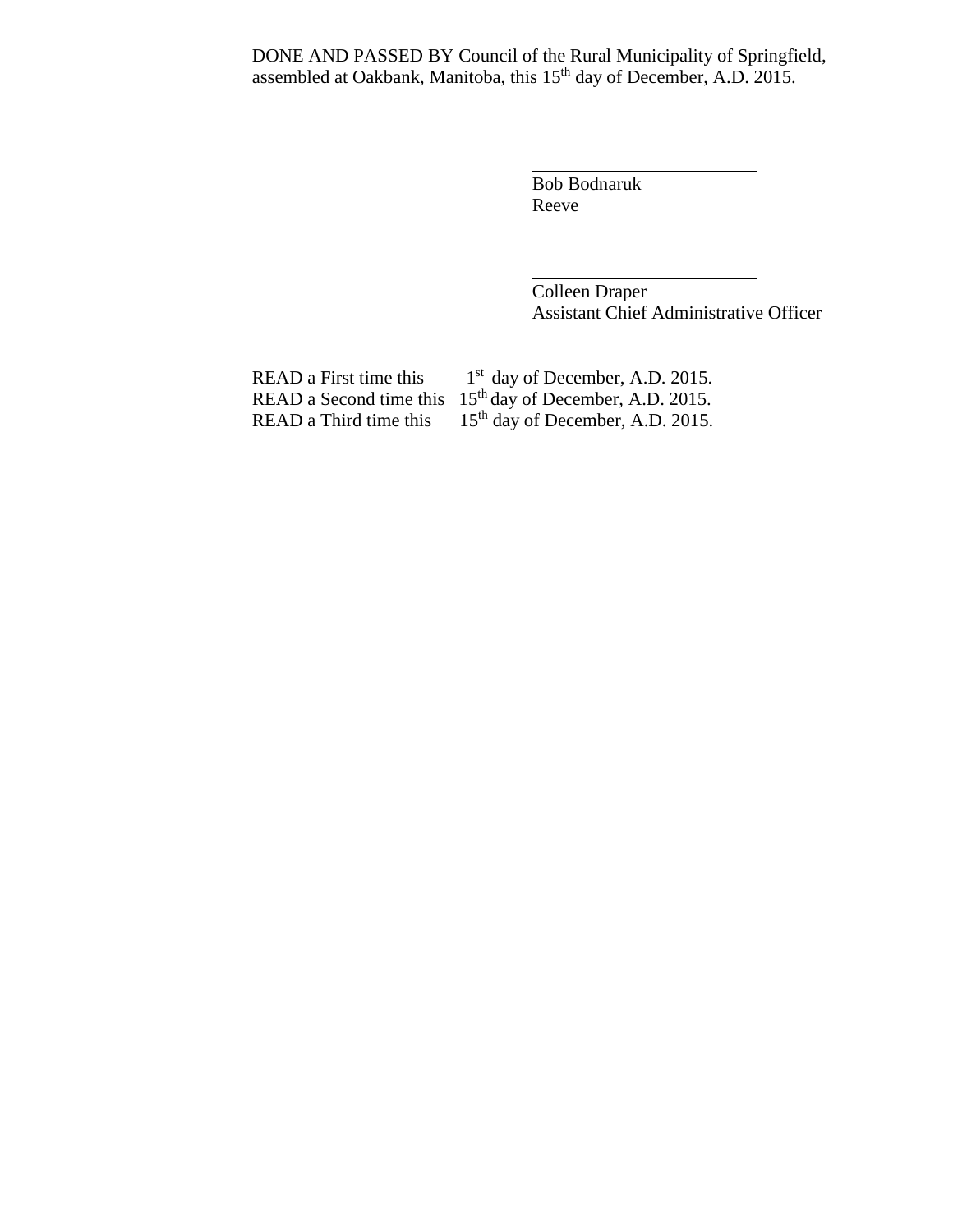DONE AND PASSED BY Council of the Rural Municipality of Springfield, assembled at Oakbank, Manitoba, this 15<sup>th</sup> day of December, A.D. 2015.

> Bob Bodnaruk Reeve

Colleen Draper Assistant Chief Administrative Officer

READ a Third time this  $15<sup>th</sup>$  day of December, A.D. 2015.

READ a First time this  $1<sup>st</sup>$  day of December, A.D. 2015. READ a Second time this  $15<sup>th</sup>$  day of December, A.D. 2015.